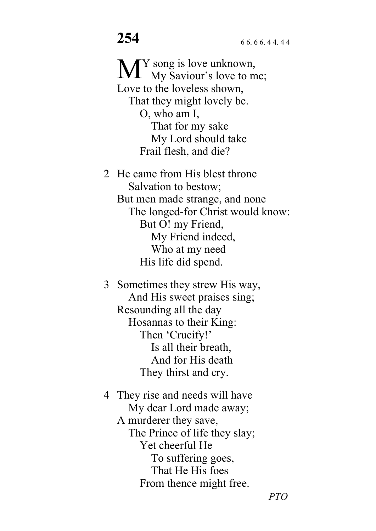Y song is love unknown, M<sup>Y</sup> song is love unknown,<br>My Saviour's love to me; Love to the loveless shown, That they might lovely be. O, who am I, That for my sake My Lord should take Frail flesh, and die?

2 He came from His blest throne Salvation to bestow; But men made strange, and none The longed-for Christ would know: But O! my Friend, My Friend indeed, Who at my need His life did spend.

3 Sometimes they strew His way, And His sweet praises sing; Resounding all the day Hosannas to their King: Then 'Crucify!' Is all their breath, And for His death They thirst and cry.

4 They rise and needs will have My dear Lord made away; A murderer they save, The Prince of life they slay; Yet cheerful He To suffering goes, That He His foes From thence might free.